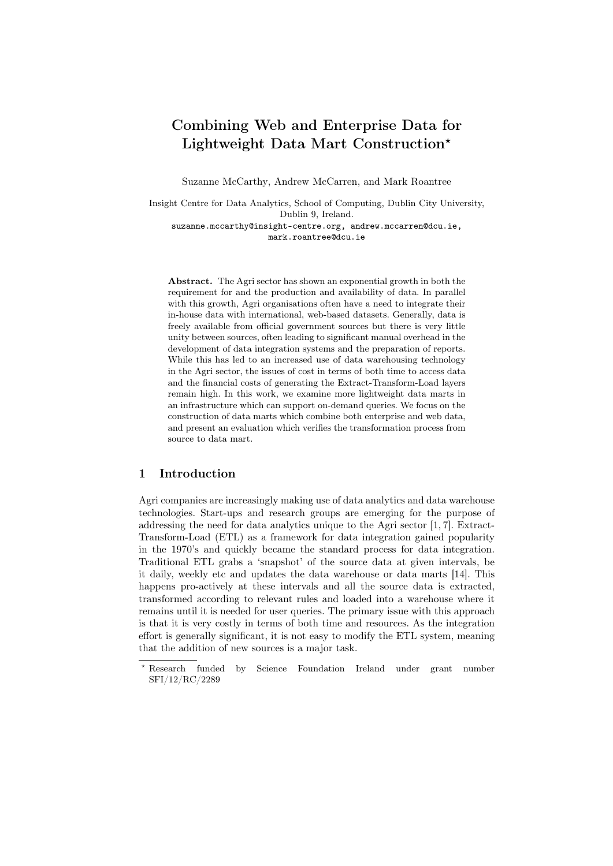# Combining Web and Enterprise Data for Lightweight Data Mart Construction?

Suzanne McCarthy, Andrew McCarren, and Mark Roantree

Insight Centre for Data Analytics, School of Computing, Dublin City University, Dublin 9, Ireland.

suzanne.mccarthy@insight-centre.org, andrew.mccarren@dcu.ie, mark.roantree@dcu.ie

Abstract. The Agri sector has shown an exponential growth in both the requirement for and the production and availability of data. In parallel with this growth, Agri organisations often have a need to integrate their in-house data with international, web-based datasets. Generally, data is freely available from official government sources but there is very little unity between sources, often leading to significant manual overhead in the development of data integration systems and the preparation of reports. While this has led to an increased use of data warehousing technology in the Agri sector, the issues of cost in terms of both time to access data and the financial costs of generating the Extract-Transform-Load layers remain high. In this work, we examine more lightweight data marts in an infrastructure which can support on-demand queries. We focus on the construction of data marts which combine both enterprise and web data, and present an evaluation which verifies the transformation process from source to data mart.

# 1 Introduction

Agri companies are increasingly making use of data analytics and data warehouse technologies. Start-ups and research groups are emerging for the purpose of addressing the need for data analytics unique to the Agri sector [1, 7]. Extract-Transform-Load (ETL) as a framework for data integration gained popularity in the 1970's and quickly became the standard process for data integration. Traditional ETL grabs a 'snapshot' of the source data at given intervals, be it daily, weekly etc and updates the data warehouse or data marts [14]. This happens pro-actively at these intervals and all the source data is extracted, transformed according to relevant rules and loaded into a warehouse where it remains until it is needed for user queries. The primary issue with this approach is that it is very costly in terms of both time and resources. As the integration effort is generally significant, it is not easy to modify the ETL system, meaning that the addition of new sources is a major task.

<sup>?</sup> Research funded by Science Foundation Ireland under grant number SFI/12/RC/2289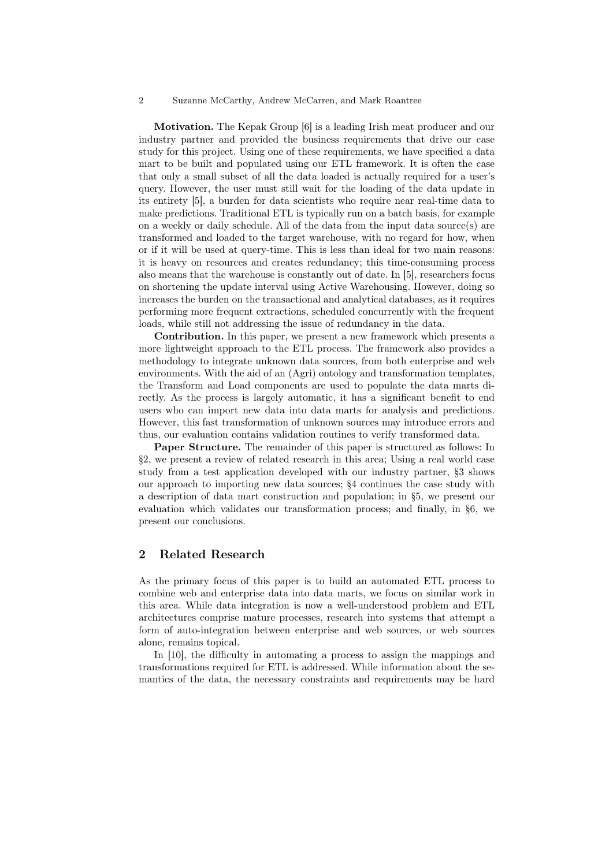Motivation. The Kepak Group [6] is a leading Irish meat producer and our industry partner and provided the business requirements that drive our case study for this project. Using one of these requirements, we have specified a data mart to be built and populated using our ETL framework. It is often the case that only a small subset of all the data loaded is actually required for a user's query. However, the user must still wait for the loading of the data update in its entirety [5], a burden for data scientists who require near real-time data to make predictions. Traditional ETL is typically run on a batch basis, for example on a weekly or daily schedule. All of the data from the input data source(s) are transformed and loaded to the target warehouse, with no regard for how, when or if it will be used at query-time. This is less than ideal for two main reasons: it is heavy on resources and creates redundancy; this time-consuming process also means that the warehouse is constantly out of date. In [5], researchers focus on shortening the update interval using Active Warehousing. However, doing so increases the burden on the transactional and analytical databases, as it requires performing more frequent extractions, scheduled concurrently with the frequent loads, while still not addressing the issue of redundancy in the data.

Contribution. In this paper, we present a new framework which presents a more lightweight approach to the ETL process. The framework also provides a methodology to integrate unknown data sources, from both enterprise and web environments. With the aid of an (Agri) ontology and transformation templates, the Transform and Load components are used to populate the data marts directly. As the process is largely automatic, it has a significant benefit to end users who can import new data into data marts for analysis and predictions. However, this fast transformation of unknown sources may introduce errors and thus, our evaluation contains validation routines to verify transformed data.

Paper Structure. The remainder of this paper is structured as follows: In §2, we present a review of related research in this area; Using a real world case study from a test application developed with our industry partner, §3 shows our approach to importing new data sources; §4 continues the case study with a description of data mart construction and population; in §5, we present our evaluation which validates our transformation process; and finally, in §6, we present our conclusions.

## 2 Related Research

As the primary focus of this paper is to build an automated ETL process to combine web and enterprise data into data marts, we focus on similar work in this area. While data integration is now a well-understood problem and ETL architectures comprise mature processes, research into systems that attempt a form of auto-integration between enterprise and web sources, or web sources alone, remains topical.

In [10], the difficulty in automating a process to assign the mappings and transformations required for ETL is addressed. While information about the semantics of the data, the necessary constraints and requirements may be hard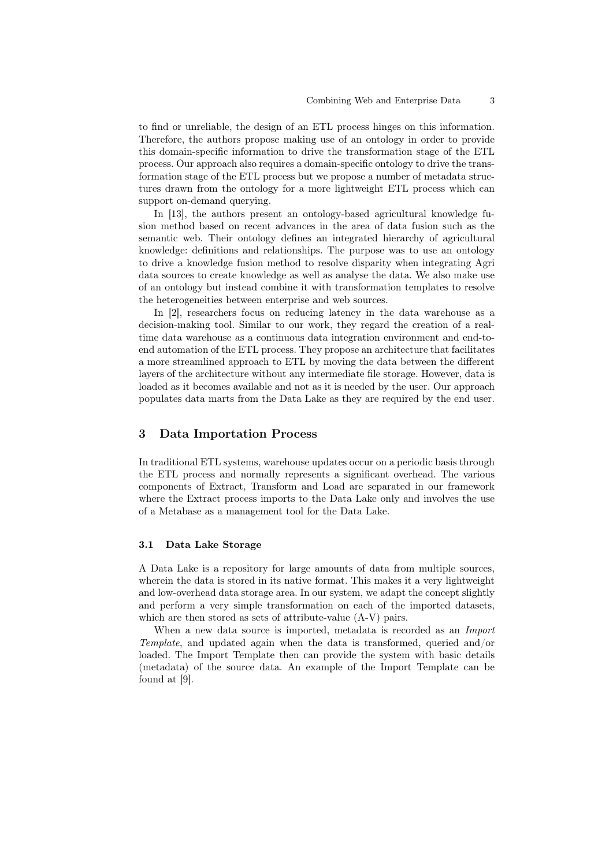to find or unreliable, the design of an ETL process hinges on this information. Therefore, the authors propose making use of an ontology in order to provide this domain-specific information to drive the transformation stage of the ETL process. Our approach also requires a domain-specific ontology to drive the transformation stage of the ETL process but we propose a number of metadata structures drawn from the ontology for a more lightweight ETL process which can support on-demand querying.

In [13], the authors present an ontology-based agricultural knowledge fusion method based on recent advances in the area of data fusion such as the semantic web. Their ontology defines an integrated hierarchy of agricultural knowledge: definitions and relationships. The purpose was to use an ontology to drive a knowledge fusion method to resolve disparity when integrating Agri data sources to create knowledge as well as analyse the data. We also make use of an ontology but instead combine it with transformation templates to resolve the heterogeneities between enterprise and web sources.

In [2], researchers focus on reducing latency in the data warehouse as a decision-making tool. Similar to our work, they regard the creation of a realtime data warehouse as a continuous data integration environment and end-toend automation of the ETL process. They propose an architecture that facilitates a more streamlined approach to ETL by moving the data between the different layers of the architecture without any intermediate file storage. However, data is loaded as it becomes available and not as it is needed by the user. Our approach populates data marts from the Data Lake as they are required by the end user.

# 3 Data Importation Process

In traditional ETL systems, warehouse updates occur on a periodic basis through the ETL process and normally represents a significant overhead. The various components of Extract, Transform and Load are separated in our framework where the Extract process imports to the Data Lake only and involves the use of a Metabase as a management tool for the Data Lake.

#### 3.1 Data Lake Storage

A Data Lake is a repository for large amounts of data from multiple sources, wherein the data is stored in its native format. This makes it a very lightweight and low-overhead data storage area. In our system, we adapt the concept slightly and perform a very simple transformation on each of the imported datasets, which are then stored as sets of attribute-value  $(A-V)$  pairs.

When a new data source is imported, metadata is recorded as an Import Template, and updated again when the data is transformed, queried and/or loaded. The Import Template then can provide the system with basic details (metadata) of the source data. An example of the Import Template can be found at [9].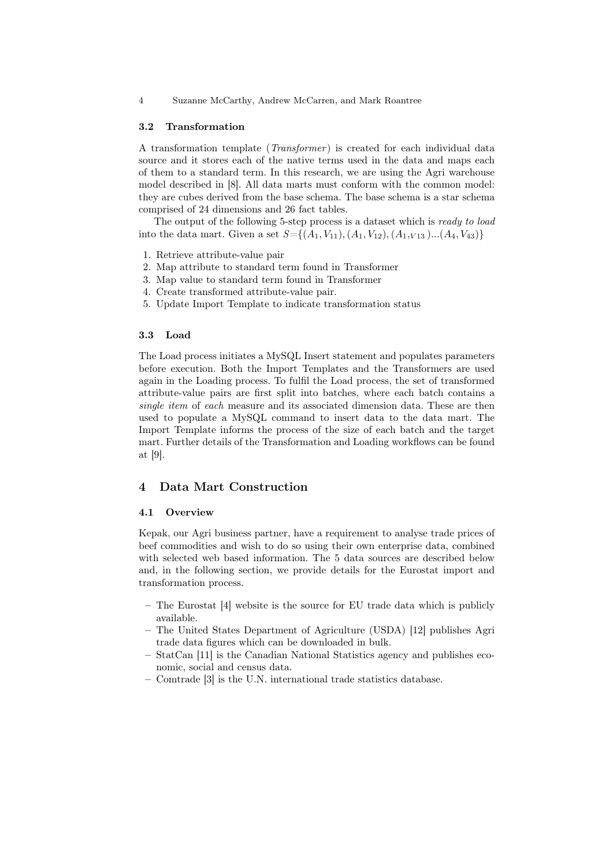#### 3.2 Transformation

A transformation template (*Transformer*) is created for each individual data source and it stores each of the native terms used in the data and maps each of them to a standard term. In this research, we are using the Agri warehouse model described in [8]. All data marts must conform with the common model: they are cubes derived from the base schema. The base schema is a star schema comprised of 24 dimensions and 26 fact tables.

The output of the following 5-step process is a dataset which is ready to load into the data mart. Given a set  $S = \{(A_1, V_{11}), (A_1, V_{12}), (A_1, V_{13}), \ldots (A_4, V_{43})\}$ 

- 1. Retrieve attribute-value pair
- 2. Map attribute to standard term found in Transformer
- 3. Map value to standard term found in Transformer
- 4. Create transformed attribute-value pair.
- 5. Update Import Template to indicate transformation status

### 3.3 Load

The Load process initiates a MySQL Insert statement and populates parameters before execution. Both the Import Templates and the Transformers are used again in the Loading process. To fulfil the Load process, the set of transformed attribute-value pairs are first split into batches, where each batch contains a single item of each measure and its associated dimension data. These are then used to populate a MySQL command to insert data to the data mart. The Import Template informs the process of the size of each batch and the target mart. Further details of the Transformation and Loading workflows can be found at [9].

# 4 Data Mart Construction

#### 4.1 Overview

Kepak, our Agri business partner, have a requirement to analyse trade prices of beef commodities and wish to do so using their own enterprise data, combined with selected web based information. The 5 data sources are described below and, in the following section, we provide details for the Eurostat import and transformation process.

- The Eurostat [4] website is the source for EU trade data which is publicly available.
- The United States Department of Agriculture (USDA) [12] publishes Agri trade data figures which can be downloaded in bulk.
- StatCan [11] is the Canadian National Statistics agency and publishes economic, social and census data.
- Comtrade [3] is the U.N. international trade statistics database.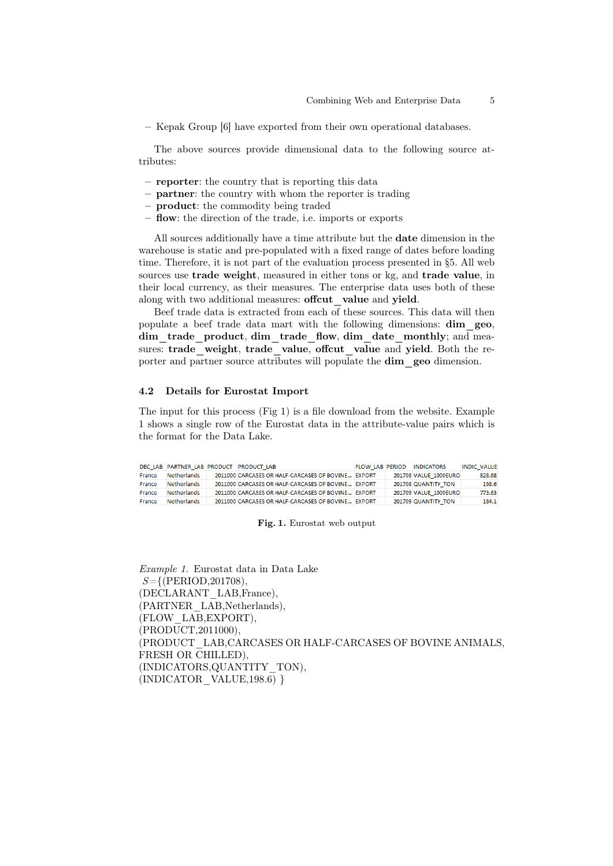– Kepak Group [6] have exported from their own operational databases.

The above sources provide dimensional data to the following source attributes:

- reporter: the country that is reporting this data
- partner: the country with whom the reporter is trading
- product: the commodity being traded
- flow: the direction of the trade, i.e. imports or exports

All sources additionally have a time attribute but the date dimension in the warehouse is static and pre-populated with a fixed range of dates before loading time. Therefore, it is not part of the evaluation process presented in §5. All web sources use trade weight, measured in either tons or kg, and trade value, in their local currency, as their measures. The enterprise data uses both of these along with two additional measures: offcut value and yield.

Beef trade data is extracted from each of these sources. This data will then populate a beef trade data mart with the following dimensions: dim\_geo, dim\_trade\_product, dim\_trade\_flow, dim\_date\_monthly; and measures: trade weight, trade value, offcut value and yield. Both the reporter and partner source attributes will populate the dim geo dimension.

#### 4.2 Details for Eurostat Import

The input for this process (Fig 1) is a file download from the website. Example 1 shows a single row of the Eurostat data in the attribute-value pairs which is the format for the Data Lake.

|        |                    | DEC LAB PARTNER LAB PRODUCT PRODUCT LAB            | <b>FLOW LAB PERIOD</b> | <b>INDICATORS</b>     | <b>INDIC VALUE</b> |
|--------|--------------------|----------------------------------------------------|------------------------|-----------------------|--------------------|
| France | Netherlands        | 2011000 CARCASES OR HALF-CARCASES OF BOVINE EXPORT |                        | 201708 VALUE 1000EURO | 828.68             |
| France | <b>Netherlands</b> | 2011000 CARCASES OR HALF-CARCASES OF BOVINE EXPORT |                        | 201708 QUANTITY TON   | 198.6              |
| France | <b>Netherlands</b> | 2011000 CARCASES OR HALF-CARCASES OF BOVINE EXPORT |                        | 201709 VALUE 1000EURO | 773.63             |
| France | <b>Netherlands</b> | 2011000 CARCASES OR HALF-CARCASES OF BOVINE EXPORT |                        | 201709 QUANTITY TON   | 184.1              |

Fig. 1. Eurostat web output

Example 1. Eurostat data in Data Lake  $S = \{ (PERIOD, 201708),$ (DECLARANT\_LAB,France), (PARTNER\_LAB,Netherlands), (FLOW\_LAB,EXPORT), (PRODUCT,2011000), (PRODUCT\_LAB,CARCASES OR HALF-CARCASES OF BOVINE ANIMALS, FRESH OR CHILLED), (INDICATORS,QUANTITY\_TON), (INDICATOR\_VALUE,198.6) }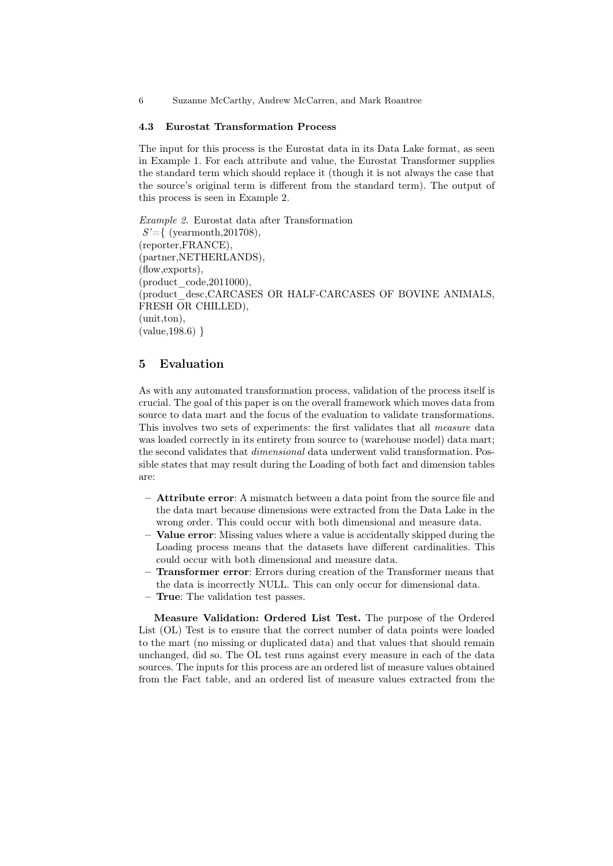#### 4.3 Eurostat Transformation Process

The input for this process is the Eurostat data in its Data Lake format, as seen in Example 1. For each attribute and value, the Eurostat Transformer supplies the standard term which should replace it (though it is not always the case that the source's original term is different from the standard term). The output of this process is seen in Example 2.

Example 2. Eurostat data after Transformation  $S'=\{$  (yearmonth, 201708), (reporter,FRANCE), (partner,NETHERLANDS), (flow,exports), (product\_code,2011000), (product\_desc,CARCASES OR HALF-CARCASES OF BOVINE ANIMALS, FRESH OR CHILLED), (unit,ton), (value,198.6) }

# 5 Evaluation

As with any automated transformation process, validation of the process itself is crucial. The goal of this paper is on the overall framework which moves data from source to data mart and the focus of the evaluation to validate transformations. This involves two sets of experiments: the first validates that all measure data was loaded correctly in its entirety from source to (warehouse model) data mart; the second validates that dimensional data underwent valid transformation. Possible states that may result during the Loading of both fact and dimension tables are:

- Attribute error: A mismatch between a data point from the source file and the data mart because dimensions were extracted from the Data Lake in the wrong order. This could occur with both dimensional and measure data.
- Value error: Missing values where a value is accidentally skipped during the Loading process means that the datasets have different cardinalities. This could occur with both dimensional and measure data.
- Transformer error: Errors during creation of the Transformer means that the data is incorrectly NULL. This can only occur for dimensional data.
- True: The validation test passes.

Measure Validation: Ordered List Test. The purpose of the Ordered List (OL) Test is to ensure that the correct number of data points were loaded to the mart (no missing or duplicated data) and that values that should remain unchanged, did so. The OL test runs against every measure in each of the data sources. The inputs for this process are an ordered list of measure values obtained from the Fact table, and an ordered list of measure values extracted from the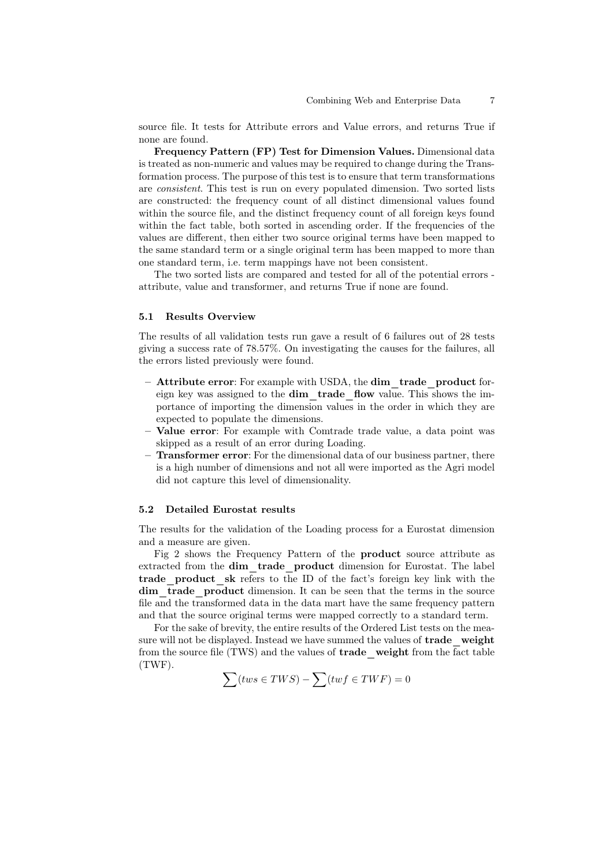source file. It tests for Attribute errors and Value errors, and returns True if none are found.

Frequency Pattern (FP) Test for Dimension Values. Dimensional data is treated as non-numeric and values may be required to change during the Transformation process. The purpose of this test is to ensure that term transformations are consistent. This test is run on every populated dimension. Two sorted lists are constructed: the frequency count of all distinct dimensional values found within the source file, and the distinct frequency count of all foreign keys found within the fact table, both sorted in ascending order. If the frequencies of the values are different, then either two source original terms have been mapped to the same standard term or a single original term has been mapped to more than one standard term, i.e. term mappings have not been consistent.

The two sorted lists are compared and tested for all of the potential errors attribute, value and transformer, and returns True if none are found.

#### 5.1 Results Overview

The results of all validation tests run gave a result of 6 failures out of 28 tests giving a success rate of 78.57%. On investigating the causes for the failures, all the errors listed previously were found.

- Attribute error: For example with USDA, the dim\_trade\_product foreign key was assigned to the dim\_trade\_flow value. This shows the importance of importing the dimension values in the order in which they are expected to populate the dimensions.
- Value error: For example with Comtrade trade value, a data point was skipped as a result of an error during Loading.
- Transformer error: For the dimensional data of our business partner, there is a high number of dimensions and not all were imported as the Agri model did not capture this level of dimensionality.

#### 5.2 Detailed Eurostat results

The results for the validation of the Loading process for a Eurostat dimension and a measure are given.

Fig 2 shows the Frequency Pattern of the product source attribute as extracted from the dim\_trade\_product dimension for Eurostat. The label trade product sk refers to the ID of the fact's foreign key link with the dim trade product dimension. It can be seen that the terms in the source file and the transformed data in the data mart have the same frequency pattern and that the source original terms were mapped correctly to a standard term.

For the sake of brevity, the entire results of the Ordered List tests on the measure will not be displayed. Instead we have summed the values of **trade** weight from the source file (TWS) and the values of trade\_weight from the fact table (TWF).

$$
\sum (tws \in TWS) - \sum (twf \in TWF) = 0
$$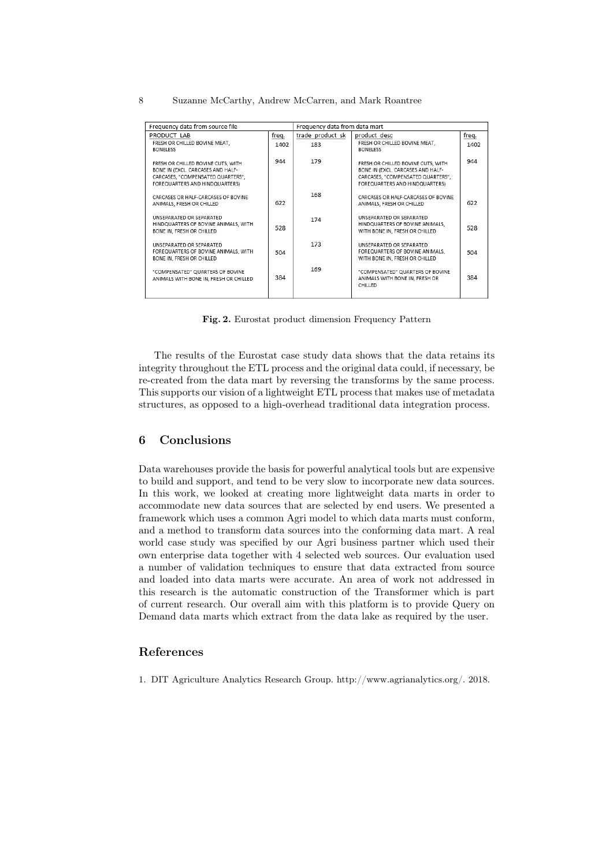| Frequency data from source file                                                                                                                |       | Frequency data from data mart |                                                                                                                                                |       |  |
|------------------------------------------------------------------------------------------------------------------------------------------------|-------|-------------------------------|------------------------------------------------------------------------------------------------------------------------------------------------|-------|--|
| PRODUCT LAB                                                                                                                                    | freq. | trade product sk              | product desc                                                                                                                                   | freq. |  |
| FRESH OR CHILLED BOVINE MEAT,<br>BONELESS.                                                                                                     | 1402  | 183                           | FRESH OR CHILLED BOVINE MEAT,<br><b>BONELESS</b>                                                                                               | 1402  |  |
| FRESH OR CHILLED BOVINE CUTS, WITH<br>BONE IN (EXCL. CARCASES AND HALF-<br>CARCASES, "COMPENSATED QUARTERS",<br>FOREQUARTERS AND HINDQUARTERS) | 944   | 179                           | FRESH OR CHILLED BOVINE CUTS, WITH<br>BONE IN (EXCL. CARCASES AND HALF-<br>CARCASES, "COMPENSATED QUARTERS",<br>FOREQUARTERS AND HINDQUARTERS) | 944   |  |
| CARCASES OR HALF-CARCASES OF BOVINE<br>ANIMALS, FRESH OR CHILLED                                                                               | 622   | 168                           | CARCASES OR HALF-CARCASES OF BOVINE<br>ANIMALS, FRESH OR CHILLED                                                                               | 622   |  |
| UNSEPARATED OR SEPARATED<br>HINDQUARTERS OF BOVINE ANIMALS, WITH<br>BONE IN, FRESH OR CHILLED                                                  | 528   | 174                           | UNSEPARATED OR SEPARATED<br>HINDQUARTERS OF BOVINE ANIMALS,<br>WITH BONE IN, FRESH OR CHILLED                                                  | 528   |  |
| UNSEPARATED OR SEPARATED.<br>FOREQUARTERS OF BOVINE ANIMALS, WITH<br>BONE IN, FRESH OR CHILLED                                                 | 504   | 173                           | UNSEPARATED OR SEPARATED<br>FOREQUARTERS OF BOVINE ANIMALS,<br>WITH BONE IN, FRESH OR CHILLED                                                  | 504   |  |
| "COMPENSATED" QUARTERS OF BOVINE<br>ANIMALS WITH BONE IN, FRESH OR CHILLED                                                                     | 384   | 169                           | "COMPENSATED" QUARTERS OF BOVINE<br>ANIMALS WITH BONE IN, FRESH OR<br>CHILLED                                                                  | 384   |  |
|                                                                                                                                                |       |                               |                                                                                                                                                |       |  |

Fig. 2. Eurostat product dimension Frequency Pattern

The results of the Eurostat case study data shows that the data retains its integrity throughout the ETL process and the original data could, if necessary, be re-created from the data mart by reversing the transforms by the same process. This supports our vision of a lightweight ETL process that makes use of metadata structures, as opposed to a high-overhead traditional data integration process.

# 6 Conclusions

Data warehouses provide the basis for powerful analytical tools but are expensive to build and support, and tend to be very slow to incorporate new data sources. In this work, we looked at creating more lightweight data marts in order to accommodate new data sources that are selected by end users. We presented a framework which uses a common Agri model to which data marts must conform, and a method to transform data sources into the conforming data mart. A real world case study was specified by our Agri business partner which used their own enterprise data together with 4 selected web sources. Our evaluation used a number of validation techniques to ensure that data extracted from source and loaded into data marts were accurate. An area of work not addressed in this research is the automatic construction of the Transformer which is part of current research. Our overall aim with this platform is to provide Query on Demand data marts which extract from the data lake as required by the user.

# References

1. DIT Agriculture Analytics Research Group. http://www.agrianalytics.org/. 2018.